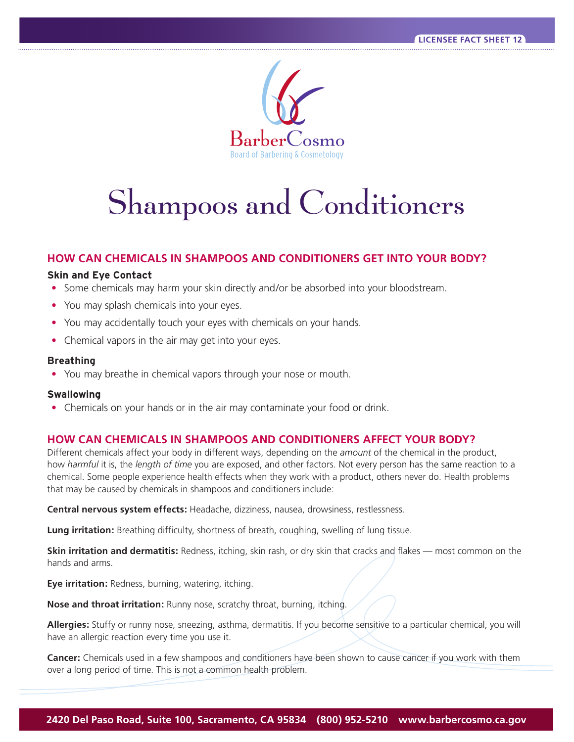

# Shampoos and Conditioners

# **HOW CAN CHEMICALS IN SHAMPOOS AND CONDITIONERS GET INTO YOUR BODY?**

#### **Skin and Eye Contact**

- Some chemicals may harm your skin directly and/or be absorbed into your bloodstream.
- You may splash chemicals into your eyes.
- You may accidentally touch your eyes with chemicals on your hands.
- Chemical vapors in the air may get into your eyes.

#### **Breathing**

**•** You may breathe in chemical vapors through your nose or mouth.

# **Swallowing**

**•** Chemicals on your hands or in the air may contaminate your food or drink.

# **HOW CAN CHEMICALS IN SHAMPOOS AND CONDITIONERS AFFECT YOUR BODY?**

Different chemicals affect your body in different ways, depending on the *amount* of the chemical in the product, how *harmful* it is, the *length of time* you are exposed, and other factors. Not every person has the same reaction to a chemical. Some people experience health effects when they work with a product, others never do. Health problems that may be caused by chemicals in shampoos and conditioners include:

**Central nervous system effects:** Headache, dizziness, nausea, drowsiness, restlessness.

**Lung irritation:** Breathing difficulty, shortness of breath, coughing, swelling of lung tissue.

**Skin irritation and dermatitis:** Redness, itching, skin rash, or dry skin that cracks and flakes — most common on the hands and arms.

**Eye irritation:** Redness, burning, watering, itching.

**Nose and throat irritation:** Runny nose, scratchy throat, burning, itching.

**Allergies:** Stuffy or runny nose, sneezing, asthma, dermatitis. If you become sensitive to a particular chemical, you will have an allergic reaction every time you use it.

**Cancer:** Chemicals used in a few shampoos and conditioners have been shown to cause cancer if you work with them over a long period of time. This is not a common health problem.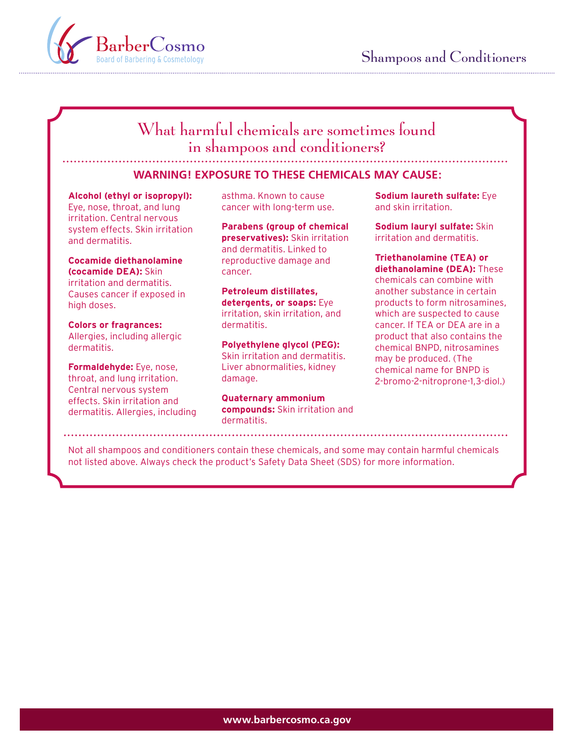

# What harmful chemicals are sometimes found in shampoos and conditioners?

# **WARNING! EXPOSURE TO THESE CHEMICALS MAY CAUSE:**

Eye, nose, throat, and lung cancer with long-term use. and skin irritation. irritation. Central nervous system effects. Skin irritation and dermatitis.

**Cocamide diethanolamine (cocamide DEA):** Skin irritation and dermatitis. Causes cancer if exposed in high doses.

Allergies, including allergic

**Formaldehyde:** Eye, nose, throat, and lung irritation. Central nervous system effects. Skin irritation and

**Parabens (group of chemical preservatives):** Skin irritation and dermatitis. Linked to reproductive damage and cancer.

**Petroleum distillates, detergents, or soaps:** Eye irritation, skin irritation, and

Skin irritation and dermatitis. Skin irritation and dermatitis. The may be produced. (The liver abnormalities, kidney damage.

**Quaternary ammonium**  dermatitis. Allergies, including **compounds:** Skin irritation and dermatitis.

**Alcohol (ethyl or isopropyl):** asthma. Known to cause **Sodium laureth sulfate:** Eye

**Sodium lauryl sulfate:** Skin irritation and dermatitis.

**Triethanolamine (TEA) or diethanolamine (DEA):** These chemicals can combine with another substance in certain products to form nitrosamines, which are suspected to cause **Colors or fragrances:** externation dermatitis. The cancer. If TEA or DEA are in a Allergies, including allergic<br> **Polyethylene glycol (PEG):** Product that also contains the<br>
chemical BNPD, nitrosamines chemical BNPD, nitrosamines chemical name for BNPD is 2-bromo-2-nitroprone-1,3-diol.)

Not all shampoos and conditioners contain these chemicals, and some may contain harmful chemicals not listed above. Always check the product's Safety Data Sheet (SDS) for more information.